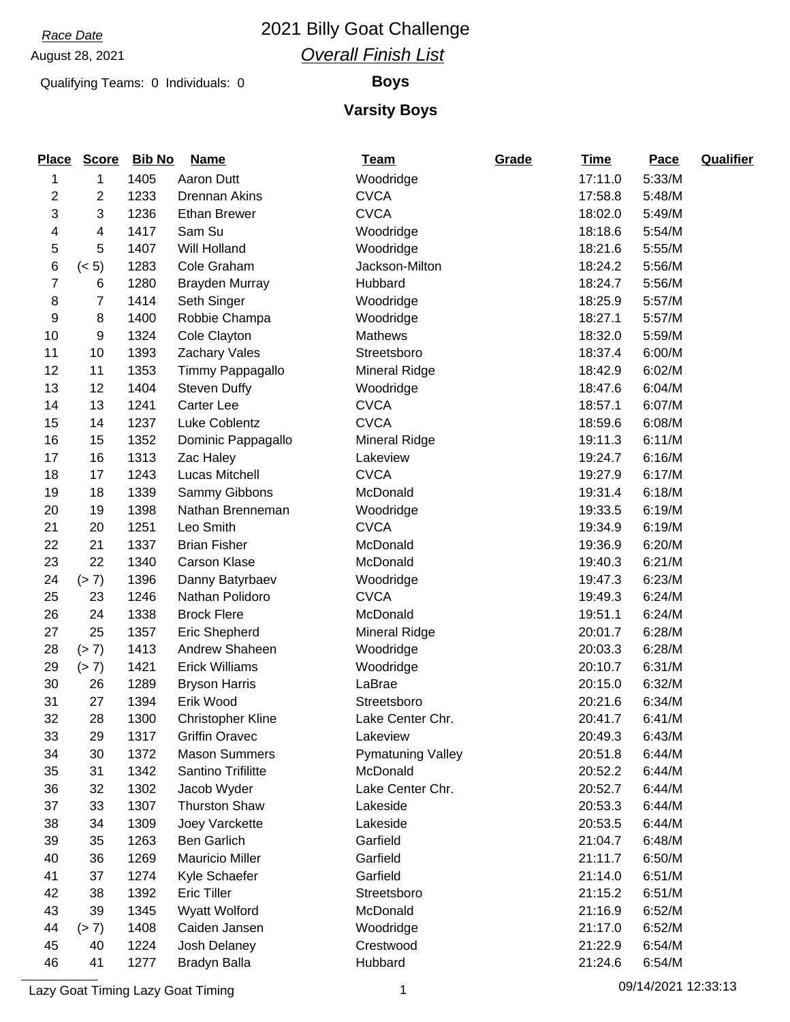### *Race Date* 2021 Billy Goat Challenge *Overall Finish List*

Qualifying Teams: 0 Individuals: 0 **Boys**

#### **Varsity Boys**

| <b>Place</b> | <b>Score</b>   | <b>Bib No</b> | <b>Name</b>              | <b>Team</b>              | Grade | <b>Time</b> | Pace   | <b>Qualifier</b> |
|--------------|----------------|---------------|--------------------------|--------------------------|-------|-------------|--------|------------------|
| 1            | 1              | 1405          | Aaron Dutt               | Woodridge                |       | 17:11.0     | 5:33/M |                  |
| $\sqrt{2}$   | $\overline{2}$ | 1233          | <b>Drennan Akins</b>     | <b>CVCA</b>              |       | 17:58.8     | 5:48/M |                  |
| 3            | 3              | 1236          | <b>Ethan Brewer</b>      | <b>CVCA</b>              |       | 18:02.0     | 5:49/M |                  |
| 4            | 4              | 1417          | Sam Su                   | Woodridge                |       | 18:18.6     | 5:54/M |                  |
| 5            | 5              | 1407          | Will Holland             | Woodridge                |       | 18:21.6     | 5:55/M |                  |
| 6            | (< 5)          | 1283          | Cole Graham              | Jackson-Milton           |       | 18:24.2     | 5:56/M |                  |
| 7            | 6              | 1280          | <b>Brayden Murray</b>    | Hubbard                  |       | 18:24.7     | 5:56/M |                  |
| 8            | 7              | 1414          | Seth Singer              | Woodridge                |       | 18:25.9     | 5:57/M |                  |
| 9            | 8              | 1400          | Robbie Champa            | Woodridge                |       | 18:27.1     | 5:57/M |                  |
| 10           | 9              | 1324          | Cole Clayton             | <b>Mathews</b>           |       | 18:32.0     | 5:59/M |                  |
| 11           | 10             | 1393          | Zachary Vales            | Streetsboro              |       | 18:37.4     | 6:00/M |                  |
| 12           | 11             | 1353          | Timmy Pappagallo         | <b>Mineral Ridge</b>     |       | 18:42.9     | 6:02/M |                  |
| 13           | 12             | 1404          | <b>Steven Duffy</b>      | Woodridge                |       | 18:47.6     | 6:04/M |                  |
| 14           | 13             | 1241          | Carter Lee               | <b>CVCA</b>              |       | 18:57.1     | 6:07/M |                  |
| 15           | 14             | 1237          | Luke Coblentz            | <b>CVCA</b>              |       | 18:59.6     | 6:08/M |                  |
| 16           | 15             | 1352          | Dominic Pappagallo       | <b>Mineral Ridge</b>     |       | 19:11.3     | 6:11/M |                  |
| 17           | 16             | 1313          | Zac Haley                | Lakeview                 |       | 19:24.7     | 6:16/M |                  |
| 18           | 17             | 1243          | Lucas Mitchell           | <b>CVCA</b>              |       | 19:27.9     | 6:17/M |                  |
| 19           | 18             | 1339          | Sammy Gibbons            | McDonald                 |       | 19:31.4     | 6:18/M |                  |
| 20           | 19             | 1398          | Nathan Brenneman         | Woodridge                |       | 19:33.5     | 6:19/M |                  |
| 21           | 20             | 1251          | Leo Smith                | <b>CVCA</b>              |       | 19:34.9     | 6:19/M |                  |
| 22           | 21             | 1337          | <b>Brian Fisher</b>      | McDonald                 |       | 19:36.9     | 6:20/M |                  |
| 23           | 22             | 1340          | <b>Carson Klase</b>      | McDonald                 |       | 19:40.3     | 6:21/M |                  |
| 24           | (> 7)          | 1396          | Danny Batyrbaev          | Woodridge                |       | 19:47.3     | 6:23/M |                  |
| 25           | 23             | 1246          | Nathan Polidoro          | <b>CVCA</b>              |       | 19:49.3     | 6:24/M |                  |
| 26           | 24             | 1338          | <b>Brock Flere</b>       | McDonald                 |       | 19:51.1     | 6:24/M |                  |
| 27           | 25             | 1357          | <b>Eric Shepherd</b>     | <b>Mineral Ridge</b>     |       | 20:01.7     | 6:28/M |                  |
| 28           | (> 7)          | 1413          | Andrew Shaheen           | Woodridge                |       | 20:03.3     | 6:28/M |                  |
| 29           | (> 7)          | 1421          | <b>Erick Williams</b>    | Woodridge                |       | 20:10.7     | 6:31/M |                  |
| 30           | 26             | 1289          | <b>Bryson Harris</b>     | LaBrae                   |       | 20:15.0     | 6:32/M |                  |
| 31           | 27             | 1394          | Erik Wood                | Streetsboro              |       | 20:21.6     | 6:34/M |                  |
| 32           | 28             | 1300          | <b>Christopher Kline</b> | Lake Center Chr.         |       | 20:41.7     | 6:41/M |                  |
| 33           | 29             | 1317          | <b>Griffin Oravec</b>    | Lakeview                 |       | 20:49.3     | 6:43/M |                  |
| 34           | 30             | 1372          | <b>Mason Summers</b>     | <b>Pymatuning Valley</b> |       | 20:51.8     | 6:44/M |                  |
| 35           | 31             | 1342          | Santino Trifilitte       | McDonald                 |       | 20:52.2     | 6:44/M |                  |
| 36           | 32             | 1302          | Jacob Wyder              | Lake Center Chr.         |       | 20:52.7     | 6:44/M |                  |
| 37           | 33             | 1307          | <b>Thurston Shaw</b>     | Lakeside                 |       | 20:53.3     | 6:44/M |                  |
| 38           | 34             | 1309          | Joey Varckette           | Lakeside                 |       | 20:53.5     | 6:44/M |                  |
| 39           | 35             | 1263          | <b>Ben Garlich</b>       | Garfield                 |       | 21:04.7     | 6:48/M |                  |
| 40           | 36             | 1269          | <b>Mauricio Miller</b>   | Garfield                 |       | 21:11.7     | 6:50/M |                  |
| 41           | 37             | 1274          | Kyle Schaefer            | Garfield                 |       | 21:14.0     | 6:51/M |                  |
| 42           | 38             | 1392          | Eric Tiller              | Streetsboro              |       | 21:15.2     | 6:51/M |                  |
| 43           | 39             | 1345          | <b>Wyatt Wolford</b>     | McDonald                 |       | 21:16.9     | 6:52/M |                  |
| 44           | (> 7)          | 1408          | Caiden Jansen            | Woodridge                |       | 21:17.0     | 6:52/M |                  |
| 45           | 40             | 1224          | Josh Delaney             | Crestwood                |       | 21:22.9     | 6:54/M |                  |
| 46           | 41             | 1277          | Bradyn Balla             | Hubbard                  |       | 21:24.6     | 6:54/M |                  |

Lazy Goat Timing Lazy Goat Timing 1 09/14/2021 12:33:13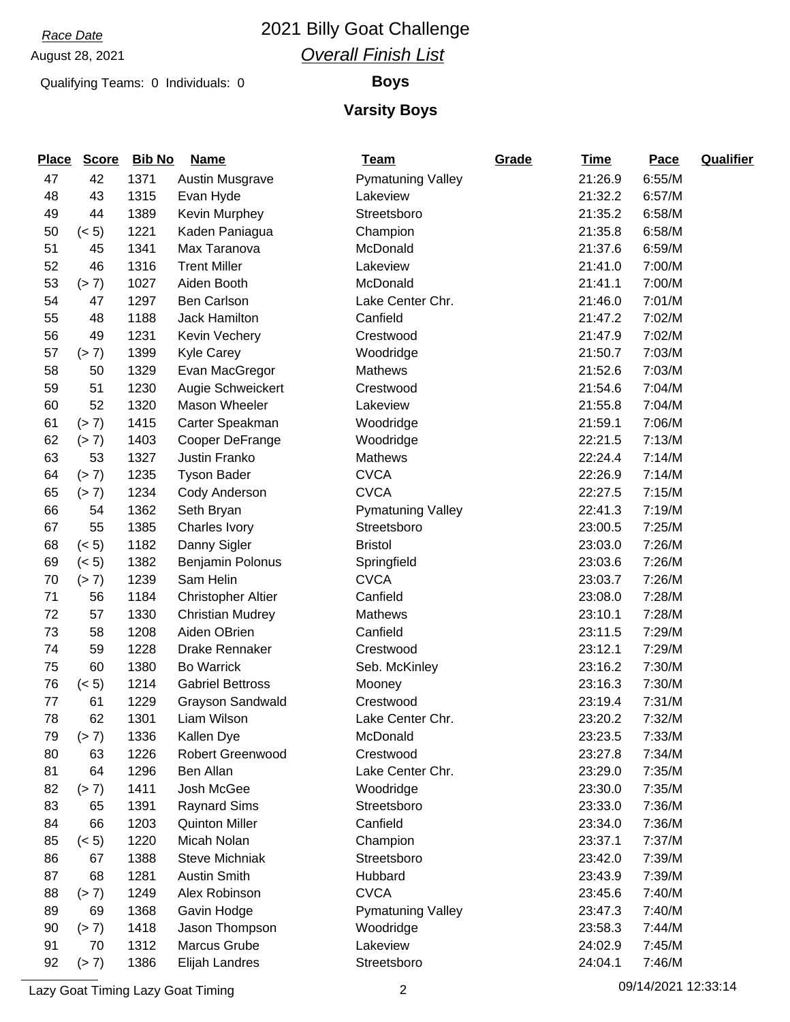### *Race Date* 2021 Billy Goat Challenge *Overall Finish List*

Qualifying Teams: 0 Individuals: 0 **Boys**

## **Varsity Boys**

| <u>Place</u> | <b>Score</b> | <b>Bib No</b> | <b>Name</b>               | <u>Team</u>              | Grade | <b>Time</b> | Pace   | <b>Qualifier</b> |
|--------------|--------------|---------------|---------------------------|--------------------------|-------|-------------|--------|------------------|
| 47           | 42           | 1371          | Austin Musgrave           | <b>Pymatuning Valley</b> |       | 21:26.9     | 6:55/M |                  |
| 48           | 43           | 1315          | Evan Hyde                 | Lakeview                 |       | 21:32.2     | 6:57/M |                  |
| 49           | 44           | 1389          | Kevin Murphey             | Streetsboro              |       | 21:35.2     | 6:58/M |                  |
| 50           | (< 5)        | 1221          | Kaden Paniagua            | Champion                 |       | 21:35.8     | 6:58/M |                  |
| 51           | 45           | 1341          | Max Taranova              | McDonald                 |       | 21:37.6     | 6:59/M |                  |
| 52           | 46           | 1316          | <b>Trent Miller</b>       | Lakeview                 |       | 21:41.0     | 7:00/M |                  |
| 53           | (> 7)        | 1027          | Aiden Booth               | McDonald                 |       | 21:41.1     | 7:00/M |                  |
| 54           | 47           | 1297          | <b>Ben Carlson</b>        | Lake Center Chr.         |       | 21:46.0     | 7:01/M |                  |
| 55           | 48           | 1188          | <b>Jack Hamilton</b>      | Canfield                 |       | 21:47.2     | 7:02/M |                  |
| 56           | 49           | 1231          | Kevin Vechery             | Crestwood                |       | 21:47.9     | 7:02/M |                  |
| 57           | (> 7)        | 1399          | Kyle Carey                | Woodridge                |       | 21:50.7     | 7:03/M |                  |
| 58           | 50           | 1329          | Evan MacGregor            | Mathews                  |       | 21:52.6     | 7:03/M |                  |
| 59           | 51           | 1230          | Augie Schweickert         | Crestwood                |       | 21:54.6     | 7:04/M |                  |
| 60           | 52           | 1320          | Mason Wheeler             | Lakeview                 |       | 21:55.8     | 7:04/M |                  |
| 61           | (> 7)        | 1415          | Carter Speakman           | Woodridge                |       | 21:59.1     | 7:06/M |                  |
| 62           | (> 7)        | 1403          | Cooper DeFrange           | Woodridge                |       | 22:21.5     | 7:13/M |                  |
| 63           | 53           | 1327          | Justin Franko             | Mathews                  |       | 22:24.4     | 7:14/M |                  |
| 64           | (> 7)        | 1235          | <b>Tyson Bader</b>        | <b>CVCA</b>              |       | 22:26.9     | 7:14/M |                  |
| 65           | (> 7)        | 1234          | Cody Anderson             | <b>CVCA</b>              |       | 22:27.5     | 7:15/M |                  |
| 66           | 54           | 1362          | Seth Bryan                | <b>Pymatuning Valley</b> |       | 22:41.3     | 7:19/M |                  |
| 67           | 55           | 1385          | Charles Ivory             | Streetsboro              |       | 23:00.5     | 7:25/M |                  |
| 68           | (< 5)        | 1182          | Danny Sigler              | <b>Bristol</b>           |       | 23:03.0     | 7:26/M |                  |
| 69           | (< 5)        | 1382          | Benjamin Polonus          | Springfield              |       | 23:03.6     | 7:26/M |                  |
| 70           | (> 7)        | 1239          | Sam Helin                 | <b>CVCA</b>              |       | 23:03.7     | 7:26/M |                  |
| 71           | 56           | 1184          | <b>Christopher Altier</b> | Canfield                 |       | 23:08.0     | 7:28/M |                  |
| 72           | 57           | 1330          | <b>Christian Mudrey</b>   | Mathews                  |       | 23:10.1     | 7:28/M |                  |
| 73           | 58           | 1208          | Aiden OBrien              | Canfield                 |       | 23:11.5     | 7:29/M |                  |
| 74           | 59           | 1228          | Drake Rennaker            | Crestwood                |       | 23:12.1     | 7:29/M |                  |
| 75           | 60           | 1380          | <b>Bo Warrick</b>         | Seb. McKinley            |       | 23:16.2     | 7:30/M |                  |
| 76           | (< 5)        | 1214          | <b>Gabriel Bettross</b>   | Mooney                   |       | 23:16.3     | 7:30/M |                  |
| 77           | 61           | 1229          | <b>Grayson Sandwald</b>   | Crestwood                |       | 23:19.4     | 7:31/M |                  |
| 78           | 62           | 1301          | Liam Wilson               | Lake Center Chr.         |       | 23:20.2     | 7:32/M |                  |
| 79           | (> 7)        | 1336          | Kallen Dye                | McDonald                 |       | 23:23.5     | 7:33/M |                  |
| 80           | 63           | 1226          | Robert Greenwood          | Crestwood                |       | 23:27.8     | 7:34/M |                  |
| 81           | 64           | 1296          | Ben Allan                 | Lake Center Chr.         |       | 23:29.0     | 7:35/M |                  |
| 82           | (> 7)        | 1411          | Josh McGee                | Woodridge                |       | 23:30.0     | 7:35/M |                  |
| 83           | 65           | 1391          | <b>Raynard Sims</b>       | Streetsboro              |       | 23:33.0     | 7:36/M |                  |
| 84           | 66           | 1203          | <b>Quinton Miller</b>     | Canfield                 |       | 23:34.0     | 7:36/M |                  |
| 85           | (< 5)        | 1220          | Micah Nolan               | Champion                 |       | 23:37.1     | 7:37/M |                  |
| 86           | 67           | 1388          | <b>Steve Michniak</b>     | Streetsboro              |       | 23:42.0     | 7:39/M |                  |
| 87           | 68           | 1281          | <b>Austin Smith</b>       | Hubbard                  |       | 23:43.9     | 7:39/M |                  |
| 88           | (> 7)        | 1249          | Alex Robinson             | <b>CVCA</b>              |       | 23:45.6     | 7:40/M |                  |
| 89           | 69           | 1368          | Gavin Hodge               | <b>Pymatuning Valley</b> |       | 23:47.3     | 7:40/M |                  |
| 90           | (> 7)        | 1418          | Jason Thompson            | Woodridge                |       | 23:58.3     | 7:44/M |                  |
| 91           | 70           | 1312          | Marcus Grube              | Lakeview                 |       | 24:02.9     | 7:45/M |                  |
| 92           | (> 7)        | 1386          | Elijah Landres            | Streetsboro              |       | 24:04.1     | 7:46/M |                  |

Lazy Goat Timing Lazy Goat Timing 2 09/14/2021 12:33:14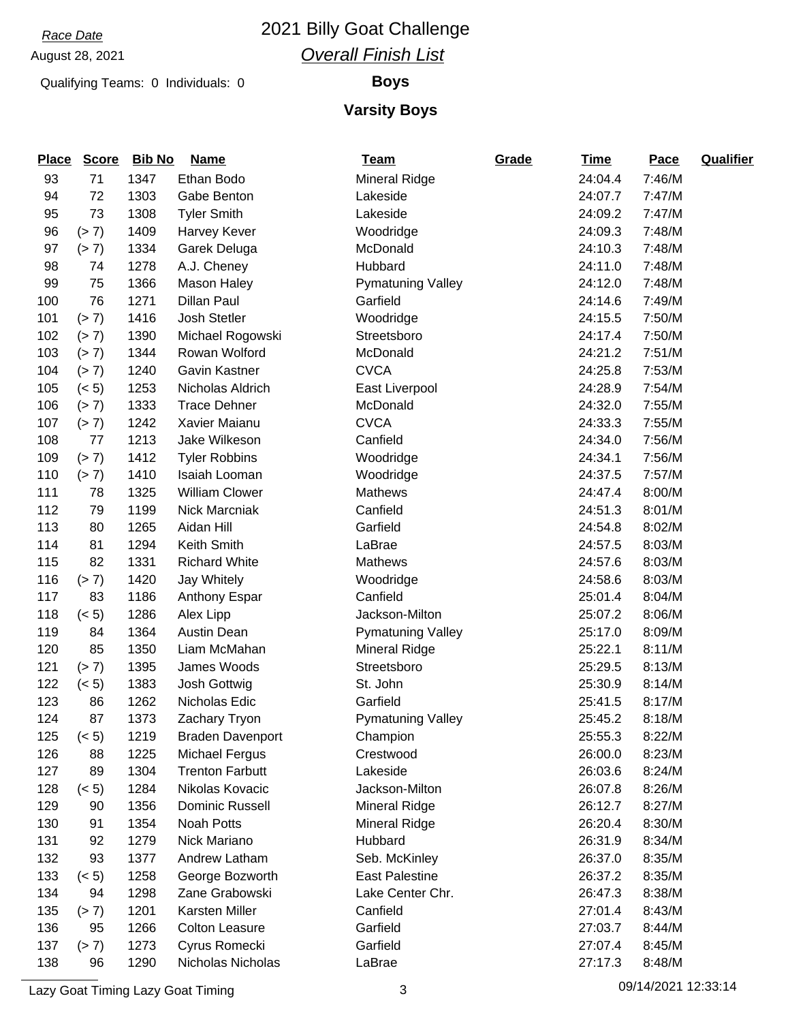### *Race Date* 2021 Billy Goat Challenge *Overall Finish List*

Qualifying Teams: 0 Individuals: 0 **Boys**

#### **Varsity Boys**

| <b>Place</b> | <b>Score</b> | <b>Bib No</b> | <b>Name</b>             | <u>Team</u>              | Grade | <b>Time</b> | Pace   | <b>Qualifier</b> |
|--------------|--------------|---------------|-------------------------|--------------------------|-------|-------------|--------|------------------|
| 93           | 71           | 1347          | Ethan Bodo              | <b>Mineral Ridge</b>     |       | 24:04.4     | 7:46/M |                  |
| 94           | 72           | 1303          | Gabe Benton             | Lakeside                 |       | 24:07.7     | 7:47/M |                  |
| 95           | 73           | 1308          | <b>Tyler Smith</b>      | Lakeside                 |       | 24:09.2     | 7:47/M |                  |
| 96           | (> 7)        | 1409          | Harvey Kever            | Woodridge                |       | 24:09.3     | 7:48/M |                  |
| 97           | (> 7)        | 1334          | Garek Deluga            | McDonald                 |       | 24:10.3     | 7:48/M |                  |
| 98           | 74           | 1278          | A.J. Cheney             | Hubbard                  |       | 24:11.0     | 7:48/M |                  |
| 99           | 75           | 1366          | Mason Haley             | Pymatuning Valley        |       | 24:12.0     | 7:48/M |                  |
| 100          | 76           | 1271          | <b>Dillan Paul</b>      | Garfield                 |       | 24:14.6     | 7:49/M |                  |
| 101          | (> 7)        | 1416          | Josh Stetler            | Woodridge                |       | 24:15.5     | 7:50/M |                  |
| 102          | (> 7)        | 1390          | Michael Rogowski        | Streetsboro              |       | 24:17.4     | 7:50/M |                  |
| 103          | (> 7)        | 1344          | Rowan Wolford           | McDonald                 |       | 24:21.2     | 7:51/M |                  |
| 104          | (> 7)        | 1240          | Gavin Kastner           | <b>CVCA</b>              |       | 24:25.8     | 7:53/M |                  |
| 105          | (< 5)        | 1253          | Nicholas Aldrich        | East Liverpool           |       | 24:28.9     | 7:54/M |                  |
| 106          | (> 7)        | 1333          | <b>Trace Dehner</b>     | McDonald                 |       | 24:32.0     | 7:55/M |                  |
| 107          | (> 7)        | 1242          | Xavier Maianu           | <b>CVCA</b>              |       | 24:33.3     | 7:55/M |                  |
| 108          | 77           | 1213          | Jake Wilkeson           | Canfield                 |       | 24:34.0     | 7:56/M |                  |
| 109          | (> 7)        | 1412          | <b>Tyler Robbins</b>    | Woodridge                |       | 24:34.1     | 7:56/M |                  |
| 110          | (> 7)        | 1410          | Isaiah Looman           | Woodridge                |       | 24:37.5     | 7:57/M |                  |
| 111          | 78           | 1325          | <b>William Clower</b>   | Mathews                  |       | 24:47.4     | 8:00/M |                  |
| 112          | 79           | 1199          | <b>Nick Marcniak</b>    | Canfield                 |       | 24:51.3     | 8:01/M |                  |
| 113          | 80           | 1265          | Aidan Hill              | Garfield                 |       | 24:54.8     | 8:02/M |                  |
| 114          | 81           | 1294          | Keith Smith             | LaBrae                   |       | 24:57.5     | 8:03/M |                  |
| 115          | 82           | 1331          | <b>Richard White</b>    | Mathews                  |       | 24:57.6     | 8:03/M |                  |
| 116          | (> 7)        | 1420          | Jay Whitely             | Woodridge                |       | 24:58.6     | 8:03/M |                  |
| 117          | 83           | 1186          | Anthony Espar           | Canfield                 |       | 25:01.4     | 8:04/M |                  |
| 118          | (< 5)        | 1286          | Alex Lipp               | Jackson-Milton           |       | 25:07.2     | 8:06/M |                  |
| 119          | 84           | 1364          | <b>Austin Dean</b>      | <b>Pymatuning Valley</b> |       | 25:17.0     | 8:09/M |                  |
| 120          | 85           | 1350          | Liam McMahan            | <b>Mineral Ridge</b>     |       | 25:22.1     | 8:11/M |                  |
| 121          | (> 7)        | 1395          | James Woods             | Streetsboro              |       | 25:29.5     | 8:13/M |                  |
| 122          | (< 5)        | 1383          | Josh Gottwig            | St. John                 |       | 25:30.9     | 8:14/M |                  |
| 123          | 86           | 1262          | Nicholas Edic           | Garfield                 |       | 25:41.5     | 8:17/M |                  |
| 124          | 87           | 1373          | Zachary Tryon           | <b>Pymatuning Valley</b> |       | 25:45.2     | 8:18/M |                  |
| 125          | (< 5)        | 1219          | <b>Braden Davenport</b> | Champion                 |       | 25:55.3     | 8:22/M |                  |
| 126          | 88           | 1225          | <b>Michael Fergus</b>   | Crestwood                |       | 26:00.0     | 8:23/M |                  |
| 127          | 89           | 1304          | <b>Trenton Farbutt</b>  | Lakeside                 |       | 26:03.6     | 8:24/M |                  |
| 128          | (< 5)        | 1284          | Nikolas Kovacic         | Jackson-Milton           |       | 26:07.8     | 8:26/M |                  |
| 129          | 90           | 1356          | Dominic Russell         | <b>Mineral Ridge</b>     |       | 26:12.7     | 8:27/M |                  |
| 130          | 91           | 1354          | Noah Potts              | <b>Mineral Ridge</b>     |       | 26:20.4     | 8:30/M |                  |
| 131          | 92           | 1279          | Nick Mariano            | Hubbard                  |       | 26:31.9     | 8:34/M |                  |
| 132          | 93           | 1377          | Andrew Latham           | Seb. McKinley            |       | 26:37.0     | 8:35/M |                  |
| 133          | (< 5)        | 1258          | George Bozworth         | <b>East Palestine</b>    |       | 26:37.2     | 8:35/M |                  |
| 134          | 94           | 1298          | Zane Grabowski          | Lake Center Chr.         |       | 26:47.3     | 8:38/M |                  |
| 135          | (> 7)        | 1201          | Karsten Miller          | Canfield                 |       | 27:01.4     | 8:43/M |                  |
| 136          | 95           | 1266          | <b>Colton Leasure</b>   | Garfield                 |       | 27:03.7     | 8:44/M |                  |
| 137          | (> 7)        | 1273          | Cyrus Romecki           | Garfield                 |       | 27:07.4     | 8:45/M |                  |
| 138          | 96           | 1290          | Nicholas Nicholas       | LaBrae                   |       | 27:17.3     | 8:48/M |                  |

Lazy Goat Timing Lazy Goat Timing 2001 12:33:14